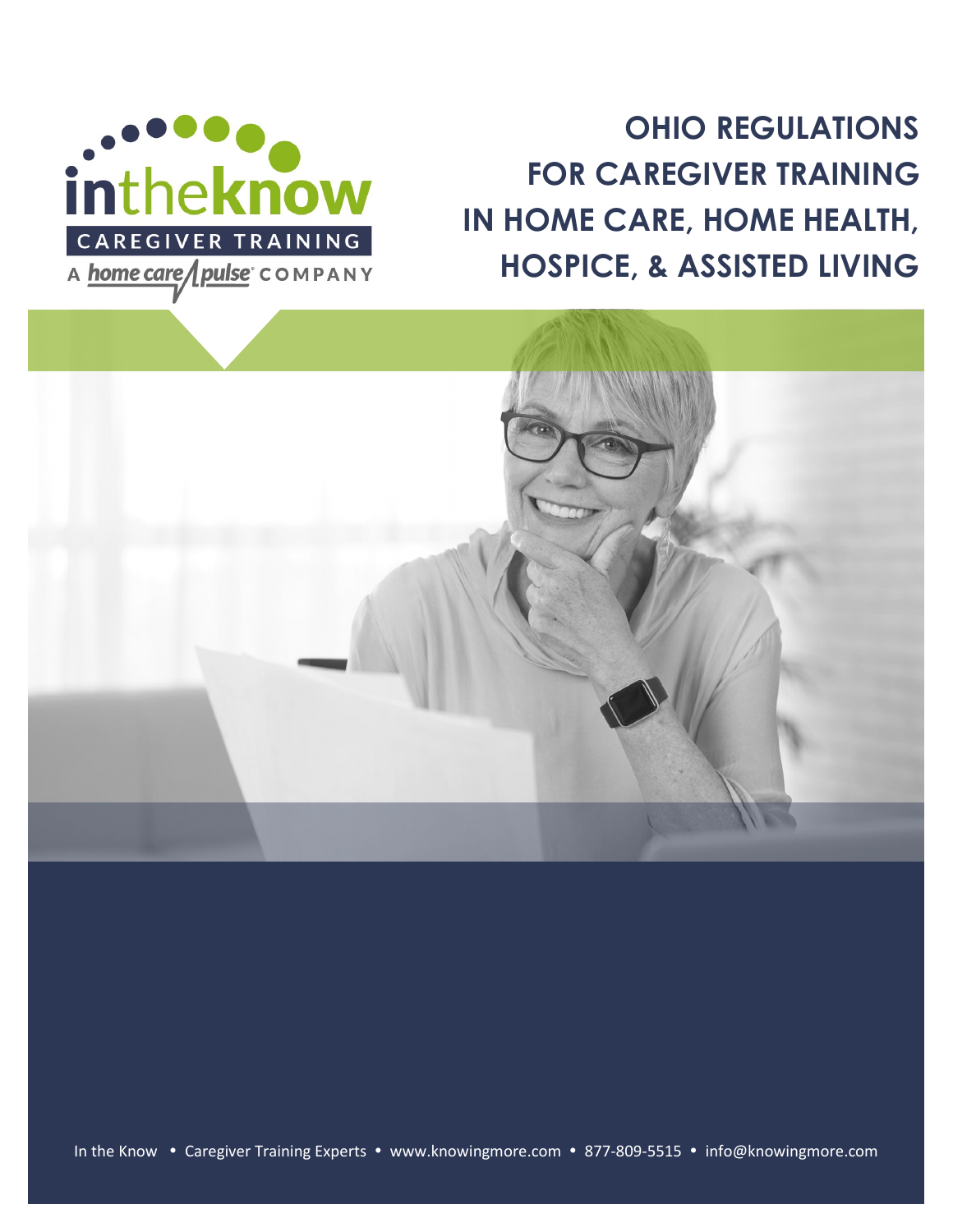

**OHIO REGULATIONS FOR CAREGIVER TRAINING IN HOME CARE, HOME HEALTH, HOSPICE, & ASSISTED LIVING**

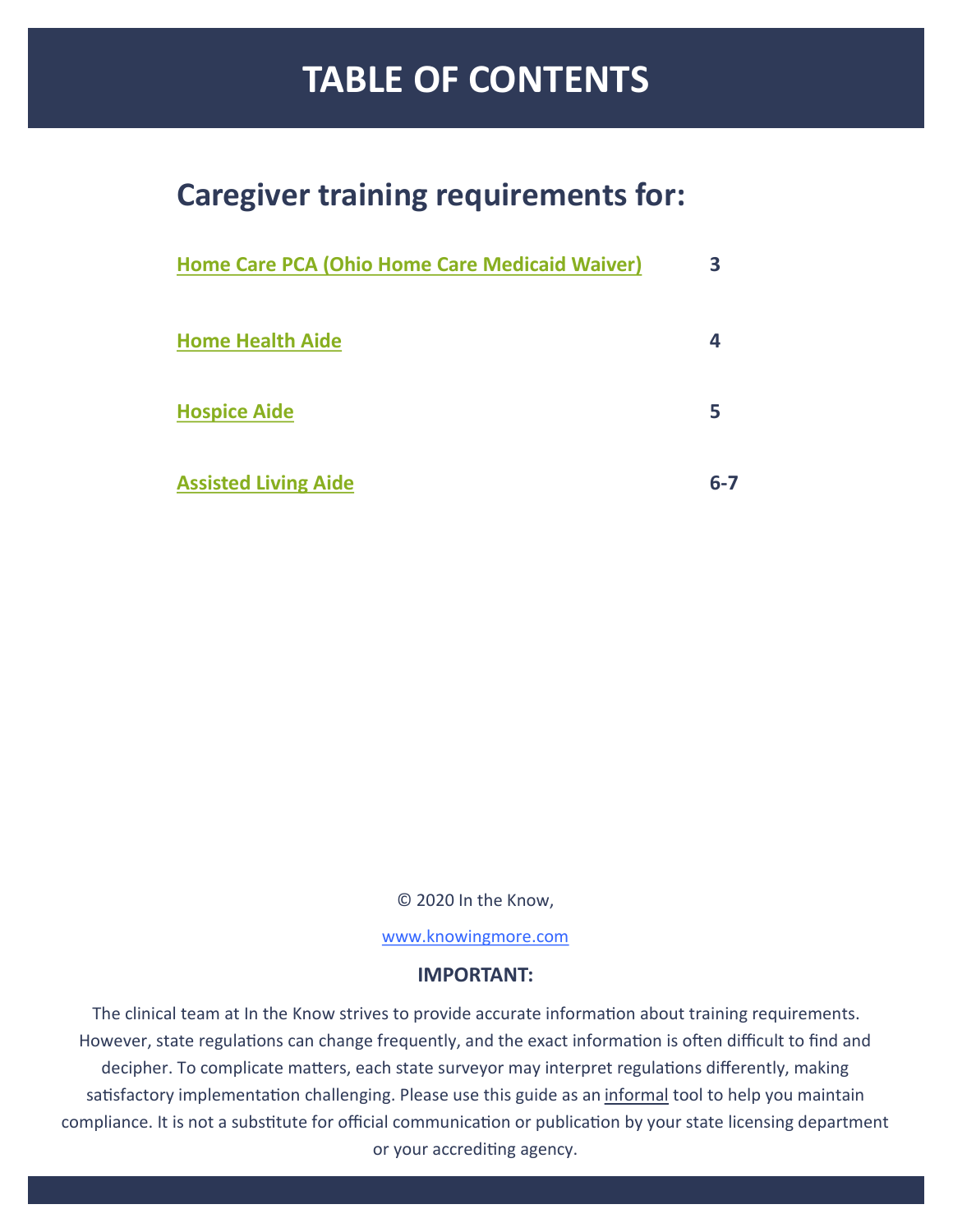# **TABLE OF CONTENTS**

# **Caregiver training requirements for:**

| Home Care PCA (Ohio Home Care Medicaid Waiver) |         |
|------------------------------------------------|---------|
| <b>Home Health Aide</b>                        |         |
| <b>Hospice Aide</b>                            | 5       |
| <b>Assisted Living Aide</b>                    | $6 - 7$ |

© 2020 In the Know,

[www.knowingmore.com](http://www.knowingmore.com)

#### **IMPORTANT:**

The clinical team at In the Know strives to provide accurate information about training requirements. However, state regulations can change frequently, and the exact information is often difficult to find and decipher. To complicate matters, each state surveyor may interpret regulations differently, making satisfactory implementation challenging. Please use this guide as an informal tool to help you maintain compliance. It is not a substitute for official communication or publication by your state licensing department or your accrediting agency.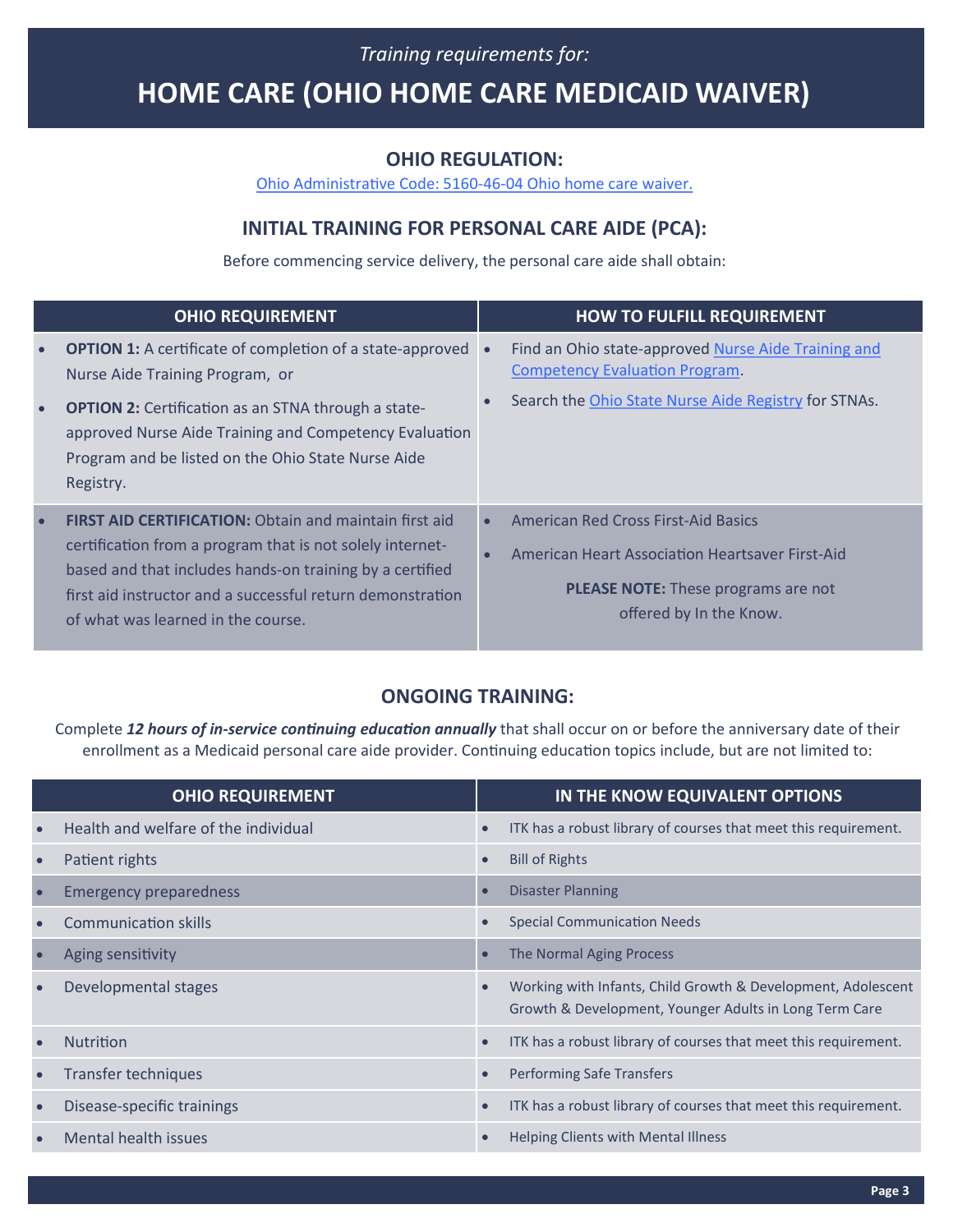### *Training requirements for:*

# <span id="page-2-0"></span>**HOME CARE (OHIO HOME CARE MEDICAID WAIVER)**

#### **OHIO REGULATION:**

[Ohio Administrative Code: 5160](http://codes.ohio.gov/oac/5160-46-04)-46-04 Ohio home care waiver.

### **INITIAL TRAINING FOR PERSONAL CARE AIDE (PCA):**

Before commencing service delivery, the personal care aide shall obtain:

|           | <b>OHIO REQUIREMENT</b>                                                                                                                                                                                                                                                                    |                        | <b>HOW TO FULFILL REQUIREMENT</b>                                                                                                                                      |
|-----------|--------------------------------------------------------------------------------------------------------------------------------------------------------------------------------------------------------------------------------------------------------------------------------------------|------------------------|------------------------------------------------------------------------------------------------------------------------------------------------------------------------|
| $\bullet$ | <b>OPTION 1:</b> A certificate of completion of a state-approved<br>Nurse Aide Training Program, or                                                                                                                                                                                        |                        | Find an Ohio state-approved Nurse Aide Training and<br><b>Competency Evaluation Program.</b>                                                                           |
| $\bullet$ | <b>OPTION 2:</b> Certification as an STNA through a state-<br>approved Nurse Aide Training and Competency Evaluation<br>Program and be listed on the Ohio State Nurse Aide<br>Registry.                                                                                                    |                        | Search the Ohio State Nurse Aide Registry for STNAs.                                                                                                                   |
|           | <b>FIRST AID CERTIFICATION:</b> Obtain and maintain first aid<br>certification from a program that is not solely internet-<br>based and that includes hands-on training by a certified<br>first aid instructor and a successful return demonstration<br>of what was learned in the course. | $\bullet$<br>$\bullet$ | <b>American Red Cross First-Aid Basics</b><br>American Heart Association Heartsaver First-Aid<br><b>PLEASE NOTE:</b> These programs are not<br>offered by In the Know. |

### **ONGOING TRAINING:**

Complete *12 hours of in-service continuing education annually* that shall occur on or before the anniversary date of their enrollment as a Medicaid personal care aide provider. Continuing education topics include, but are not limited to:

| <b>OHIO REQUIREMENT</b>              |           | IN THE KNOW EQUIVALENT OPTIONS                                                                                         |
|--------------------------------------|-----------|------------------------------------------------------------------------------------------------------------------------|
| Health and welfare of the individual | $\bullet$ | ITK has a robust library of courses that meet this requirement.                                                        |
| Patient rights                       |           | <b>Bill of Rights</b>                                                                                                  |
| <b>Emergency preparedness</b>        |           | <b>Disaster Planning</b>                                                                                               |
| Communication skills                 |           | <b>Special Communication Needs</b>                                                                                     |
| Aging sensitivity                    | $\bullet$ | The Normal Aging Process                                                                                               |
| Developmental stages                 |           | Working with Infants, Child Growth & Development, Adolescent<br>Growth & Development, Younger Adults in Long Term Care |
| <b>Nutrition</b>                     |           | ITK has a robust library of courses that meet this requirement.                                                        |
| Transfer techniques                  |           | <b>Performing Safe Transfers</b>                                                                                       |
| Disease-specific trainings           | $\bullet$ | ITK has a robust library of courses that meet this requirement.                                                        |
| Mental health issues                 |           | Helping Clients with Mental Illness                                                                                    |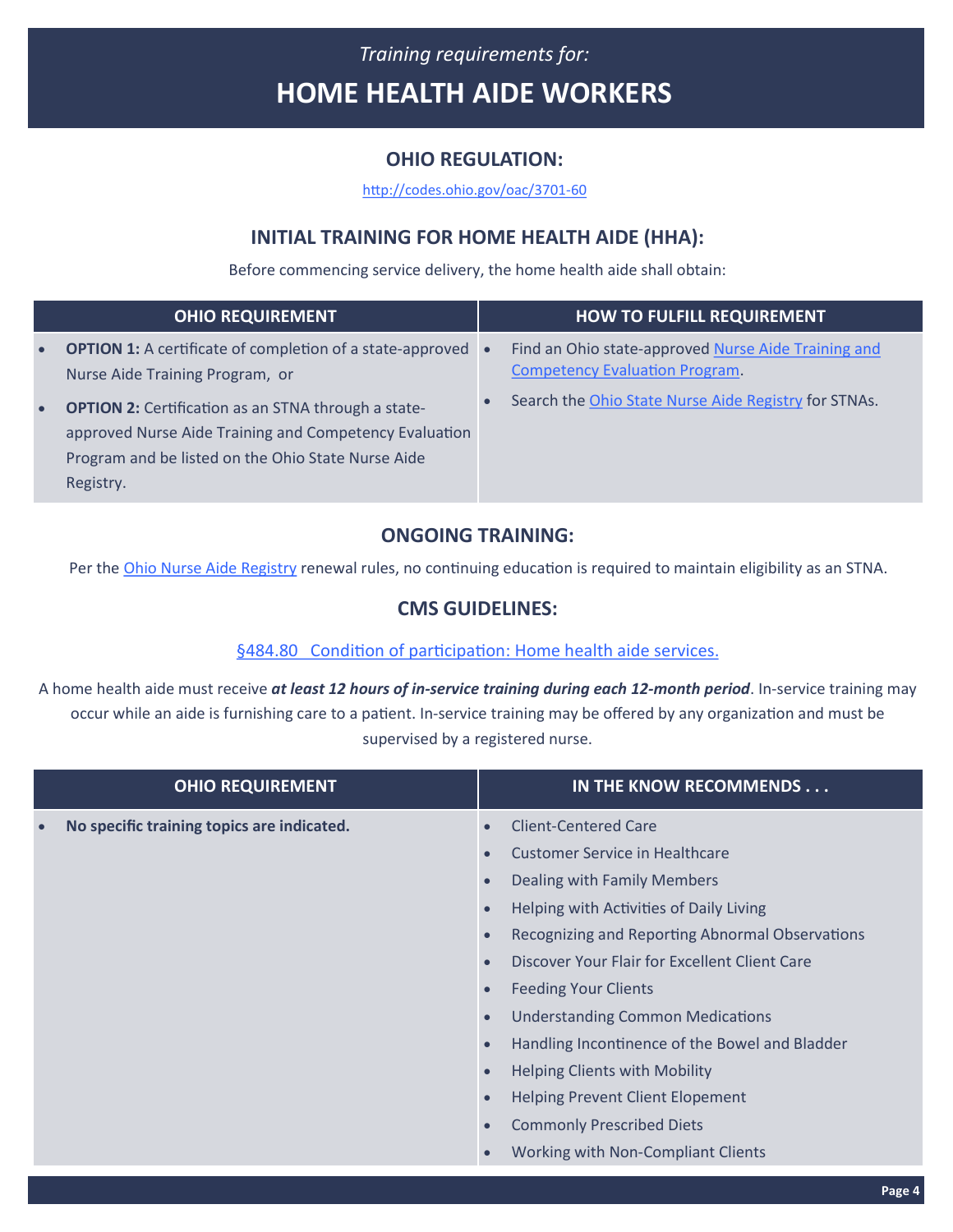# <span id="page-3-0"></span>*Training requirements for:* **HOME HEALTH AIDE WORKERS**

### **OHIO REGULATION:**

[http://codes.ohio.gov/oac/3701](http://codes.ohio.gov/oac/3701-60)-60

### **INITIAL TRAINING FOR HOME HEALTH AIDE (HHA):**

Before commencing service delivery, the home health aide shall obtain:

|           | <b>OHIO REQUIREMENT</b>                                                                                                                                                                 | <b>HOW TO FULFILL REQUIREMENT</b>                                                            |
|-----------|-----------------------------------------------------------------------------------------------------------------------------------------------------------------------------------------|----------------------------------------------------------------------------------------------|
| $\bullet$ | <b>OPTION 1:</b> A certificate of completion of a state-approved •<br>Nurse Aide Training Program, or                                                                                   | Find an Ohio state-approved Nurse Aide Training and<br><b>Competency Evaluation Program.</b> |
| $\bullet$ | <b>OPTION 2:</b> Certification as an STNA through a state-<br>approved Nurse Aide Training and Competency Evaluation<br>Program and be listed on the Ohio State Nurse Aide<br>Registry. | Search the Ohio State Nurse Aide Registry for STNAs.                                         |

### **ONGOING TRAINING:**

Per the [Ohio Nurse Aide Registry](https://odh.ohio.gov/wps/portal/gov/odh/know-our-programs/nurse-aide-registry/resources/nurseaideregsitryrequirements) renewal rules, no continuing education is required to maintain eligibility as an STNA.

### **CMS GUIDELINES:**

#### §484.80 [Condition of participation: Home health aide services.](https://ecfr.io/Title-42/pt42.5.484)

A home health aide must receive *at least 12 hours of in-service training during each 12-month period*. In-service training may occur while an aide is furnishing care to a patient. In-service training may be offered by any organization and must be supervised by a registered nurse.

| <b>OHIO REQUIREMENT</b>                    | IN THE KNOW RECOMMENDS                                       |
|--------------------------------------------|--------------------------------------------------------------|
| No specific training topics are indicated. | <b>Client-Centered Care</b>                                  |
|                                            | <b>Customer Service in Healthcare</b>                        |
|                                            | Dealing with Family Members<br>$\bullet$                     |
|                                            | Helping with Activities of Daily Living<br>$\bullet$         |
|                                            | Recognizing and Reporting Abnormal Observations<br>$\bullet$ |
|                                            | Discover Your Flair for Excellent Client Care                |
| $\bullet$<br>$\bullet$                     | <b>Feeding Your Clients</b>                                  |
|                                            | <b>Understanding Common Medications</b>                      |
|                                            | Handling Incontinence of the Bowel and Bladder               |
|                                            | <b>Helping Clients with Mobility</b><br>$\bullet$            |
|                                            | <b>Helping Prevent Client Elopement</b><br>$\bullet$         |
|                                            | <b>Commonly Prescribed Diets</b>                             |
|                                            | Working with Non-Compliant Clients                           |
|                                            | Page 4                                                       |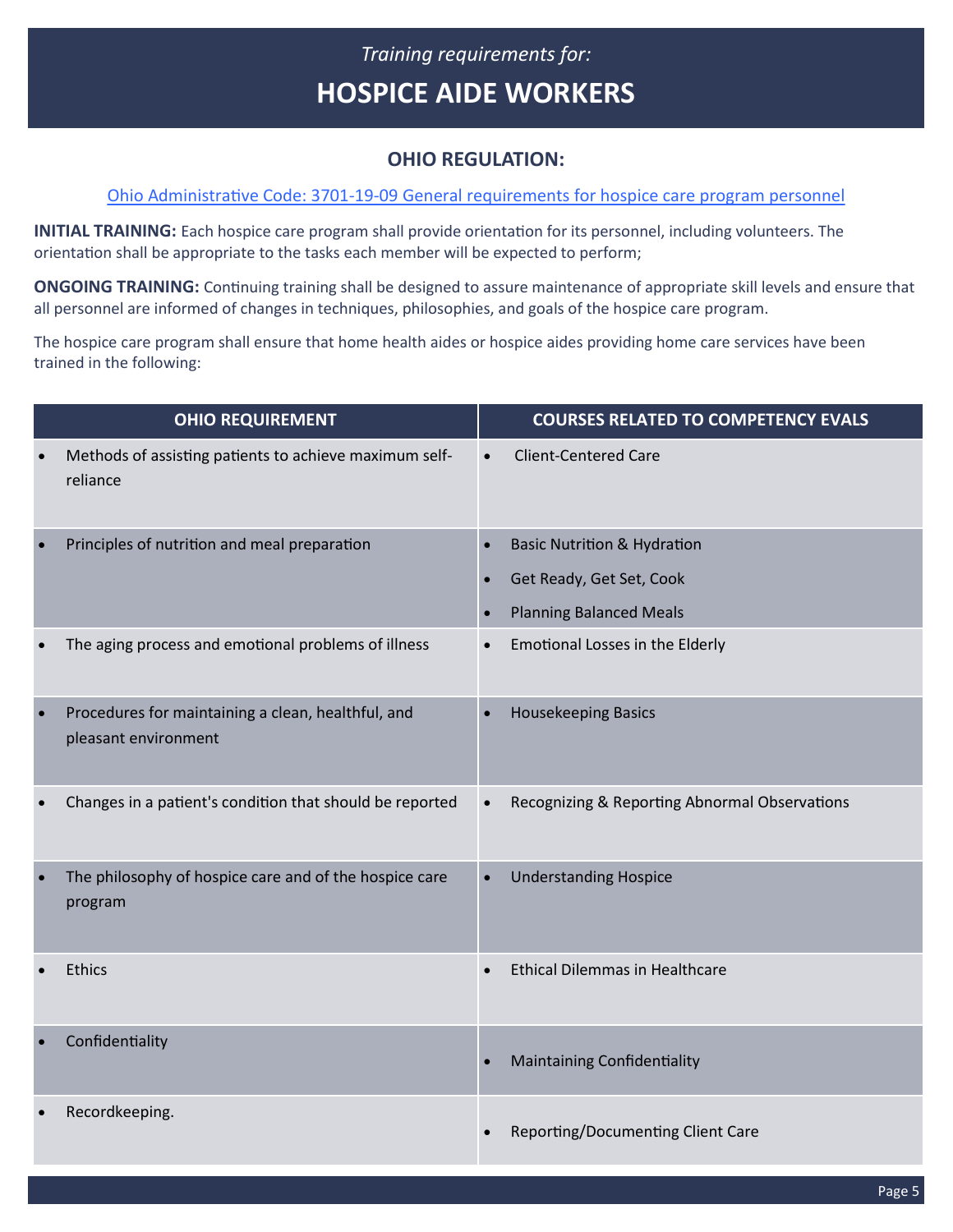### *Training requirements for:* **HOSPICE AIDE WORKERS**

### **OHIO REGULATION:**

#### <span id="page-4-0"></span>Ohio Administrative Code: 3701-19-[09 General requirements for hospice care program personnel](http://codes.ohio.gov/oac/3701-19)

**INITIAL TRAINING:** Each hospice care program shall provide orientation for its personnel, including volunteers. The orientation shall be appropriate to the tasks each member will be expected to perform;

**ONGOING TRAINING:** Continuing training shall be designed to assure maintenance of appropriate skill levels and ensure that all personnel are informed of changes in techniques, philosophies, and goals of the hospice care program.

The hospice care program shall ensure that home health aides or hospice aides providing home care services have been trained in the following:

|           | <b>OHIO REQUIREMENT</b>                                                    |                        | <b>COURSES RELATED TO COMPETENCY EVALS</b>                                                           |
|-----------|----------------------------------------------------------------------------|------------------------|------------------------------------------------------------------------------------------------------|
|           | Methods of assisting patients to achieve maximum self-<br>reliance         |                        | <b>Client-Centered Care</b>                                                                          |
|           | Principles of nutrition and meal preparation                               | $\bullet$<br>$\bullet$ | <b>Basic Nutrition &amp; Hydration</b><br>Get Ready, Get Set, Cook<br><b>Planning Balanced Meals</b> |
|           | The aging process and emotional problems of illness                        |                        | Emotional Losses in the Elderly                                                                      |
| $\bullet$ | Procedures for maintaining a clean, healthful, and<br>pleasant environment | $\bullet$              | <b>Housekeeping Basics</b>                                                                           |
|           | Changes in a patient's condition that should be reported                   | $\bullet$              | Recognizing & Reporting Abnormal Observations                                                        |
|           | The philosophy of hospice care and of the hospice care<br>program          | $\bullet$              | <b>Understanding Hospice</b>                                                                         |
|           | Ethics                                                                     |                        | <b>Ethical Dilemmas in Healthcare</b>                                                                |
|           | Confidentiality                                                            |                        | <b>Maintaining Confidentiality</b>                                                                   |
|           | Recordkeeping.                                                             |                        | Reporting/Documenting Client Care                                                                    |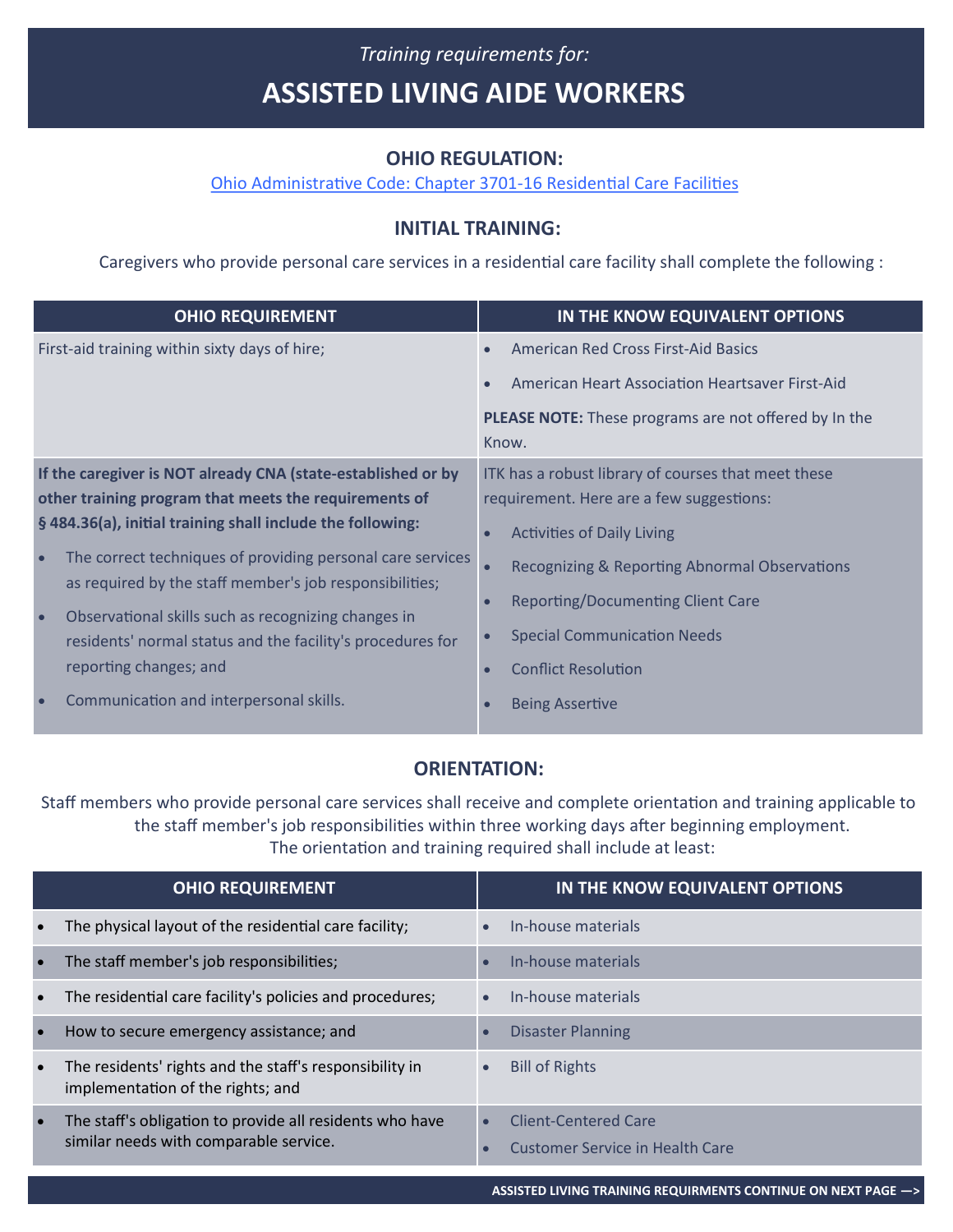# <span id="page-5-0"></span>*Training requirements for:* **ASSISTED LIVING AIDE WORKERS**

#### **OHIO REGULATION:**

[Ohio Administrative Code: Chapter 3701](http://codes.ohio.gov/oac/3701-16)-16 Residential Care Facilities

### **INITIAL TRAINING:**

Caregivers who provide personal care services in a residential care facility shall complete the following :

| <b>OHIO REQUIREMENT</b>                                                                                                            | IN THE KNOW EQUIVALENT OPTIONS                                                                  |
|------------------------------------------------------------------------------------------------------------------------------------|-------------------------------------------------------------------------------------------------|
| First-aid training within sixty days of hire;                                                                                      | American Red Cross First-Aid Basics                                                             |
|                                                                                                                                    | American Heart Association Heartsaver First-Aid                                                 |
|                                                                                                                                    | <b>PLEASE NOTE:</b> These programs are not offered by In the<br>Know.                           |
| If the caregiver is NOT already CNA (state-established or by<br>other training program that meets the requirements of              | ITK has a robust library of courses that meet these<br>requirement. Here are a few suggestions: |
| §484.36(a), initial training shall include the following:                                                                          | <b>Activities of Daily Living</b>                                                               |
| The correct techniques of providing personal care services<br>$\bullet$<br>as required by the staff member's job responsibilities; | Recognizing & Reporting Abnormal Observations<br>$\bullet$                                      |
| Observational skills such as recognizing changes in<br>residents' normal status and the facility's procedures for                  | <b>Reporting/Documenting Client Care</b>                                                        |
|                                                                                                                                    | <b>Special Communication Needs</b>                                                              |
| reporting changes; and                                                                                                             | <b>Conflict Resolution</b>                                                                      |
| Communication and interpersonal skills.                                                                                            | <b>Being Assertive</b>                                                                          |

### **ORIENTATION:**

Staff members who provide personal care services shall receive and complete orientation and training applicable to the staff member's job responsibilities within three working days after beginning employment. The orientation and training required shall include at least:

| <b>OHIO REQUIREMENT</b>                                                                                         |           | IN THE KNOW EQUIVALENT OPTIONS                                 |
|-----------------------------------------------------------------------------------------------------------------|-----------|----------------------------------------------------------------|
| The physical layout of the residential care facility;                                                           |           | In-house materials                                             |
| The staff member's job responsibilities;<br>$\bullet$                                                           |           | In-house materials                                             |
| The residential care facility's policies and procedures;<br>$\bullet$                                           |           | In-house materials                                             |
| How to secure emergency assistance; and                                                                         |           | <b>Disaster Planning</b>                                       |
| The residents' rights and the staff's responsibility in<br>$\bullet$<br>implementation of the rights; and       | $\bullet$ | <b>Bill of Rights</b>                                          |
| The staff's obligation to provide all residents who have<br>$\bullet$<br>similar needs with comparable service. | $\bullet$ | Client-Centered Care<br><b>Customer Service in Health Care</b> |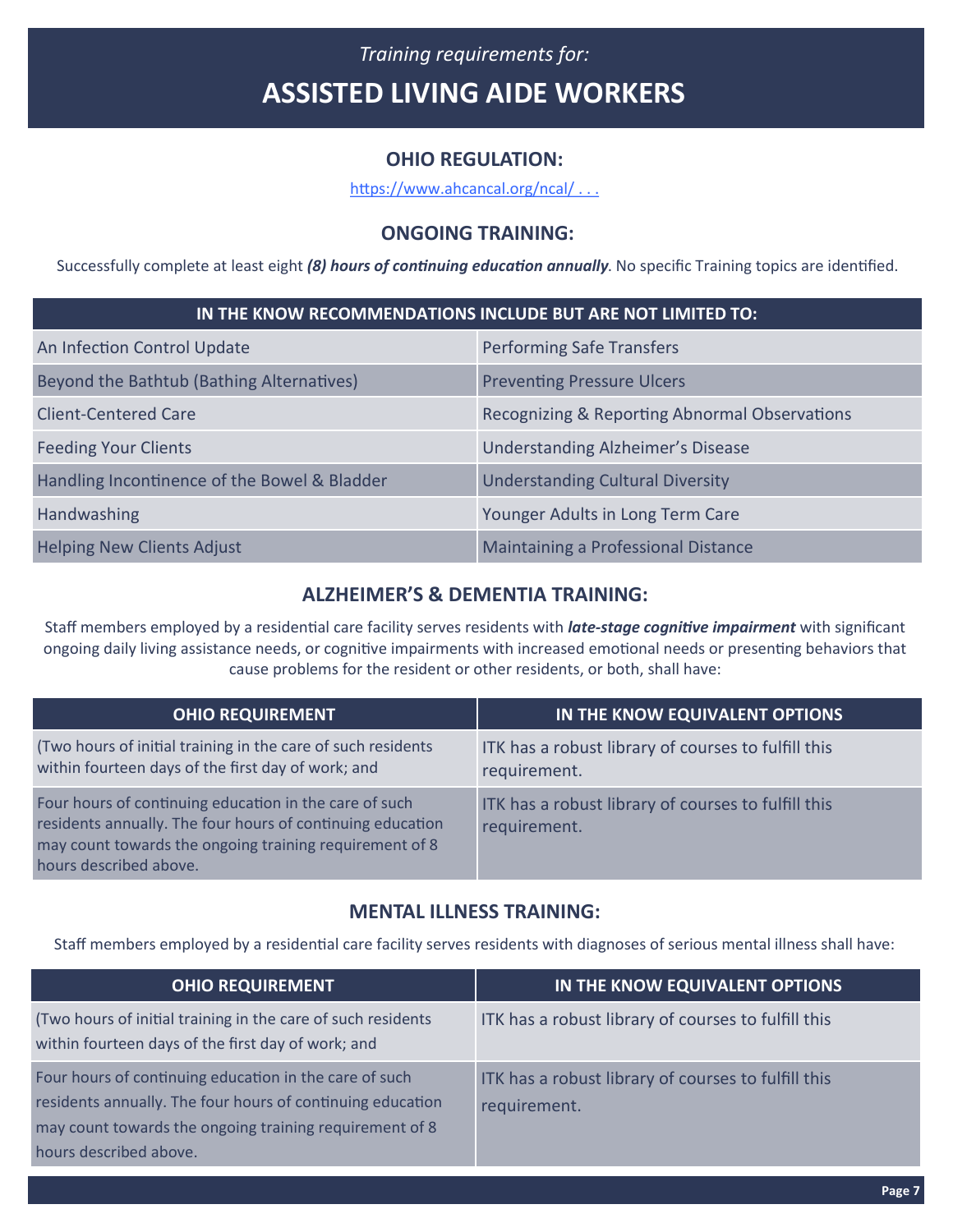# *Training requirements for:* **ASSISTED LIVING AIDE WORKERS**

### **OHIO REGULATION:**

[https://www.ahcancal.org/ncal/ . . .](https://www.ahcancal.org/ncal/advocacy/regs/State%20Reg%20Review%20%20State%20Summaries/Ohio.pdf)

### **ONGOING TRAINING:**

Successfully complete at least eight *(8) hours of continuing education annually*. No specific Training topics are identified.

| IN THE KNOW RECOMMENDATIONS INCLUDE BUT ARE NOT LIMITED TO: |                                               |  |
|-------------------------------------------------------------|-----------------------------------------------|--|
| An Infection Control Update                                 | <b>Performing Safe Transfers</b>              |  |
| Beyond the Bathtub (Bathing Alternatives)                   | <b>Preventing Pressure Ulcers</b>             |  |
| <b>Client-Centered Care</b>                                 | Recognizing & Reporting Abnormal Observations |  |
| <b>Feeding Your Clients</b>                                 | <b>Understanding Alzheimer's Disease</b>      |  |
| Handling Incontinence of the Bowel & Bladder                | <b>Understanding Cultural Diversity</b>       |  |
| Handwashing                                                 | Younger Adults in Long Term Care              |  |
| <b>Helping New Clients Adjust</b>                           | Maintaining a Professional Distance           |  |

### **ALZHEIMER'S & DEMENTIA TRAINING:**

Staff members employed by a residential care facility serves residents with *late-stage cognitive impairment* with significant ongoing daily living assistance needs, or cognitive impairments with increased emotional needs or presenting behaviors that cause problems for the resident or other residents, or both, shall have:

| <b>OHIO REQUIREMENT</b>                                                                                                                                                                                   | IN THE KNOW EQUIVALENT OPTIONS                                      |
|-----------------------------------------------------------------------------------------------------------------------------------------------------------------------------------------------------------|---------------------------------------------------------------------|
| (Two hours of initial training in the care of such residents<br>within fourteen days of the first day of work; and                                                                                        | ITK has a robust library of courses to fulfill this<br>requirement. |
| Four hours of continuing education in the care of such<br>residents annually. The four hours of continuing education<br>may count towards the ongoing training requirement of 8<br>hours described above. | ITK has a robust library of courses to fulfill this<br>requirement. |

#### **MENTAL ILLNESS TRAINING:**

Staff members employed by a residential care facility serves residents with diagnoses of serious mental illness shall have:

| <b>OHIO REQUIREMENT</b>                                                                                                                                                                                   | IN THE KNOW EQUIVALENT OPTIONS                                      |
|-----------------------------------------------------------------------------------------------------------------------------------------------------------------------------------------------------------|---------------------------------------------------------------------|
| (Two hours of initial training in the care of such residents<br>within fourteen days of the first day of work; and                                                                                        | ITK has a robust library of courses to fulfill this                 |
| Four hours of continuing education in the care of such<br>residents annually. The four hours of continuing education<br>may count towards the ongoing training requirement of 8<br>hours described above. | ITK has a robust library of courses to fulfill this<br>requirement. |